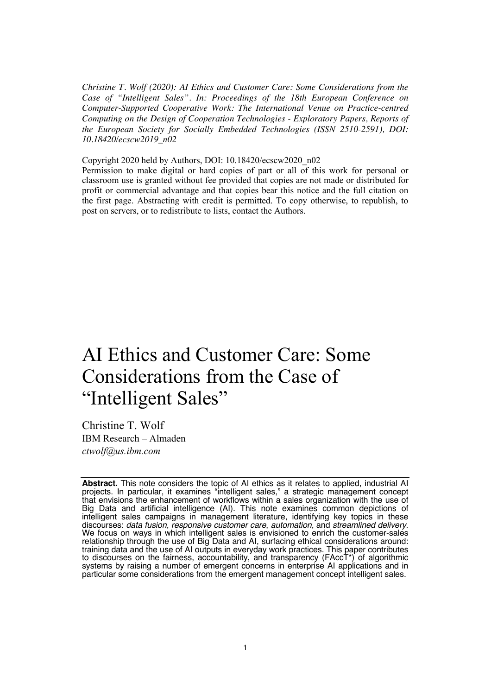*Christine T. Wolf (2020): AI Ethics and Customer Care: Some Considerations from the Case of "Intelligent Sales". In: Proceedings of the 18th European Conference on Computer-Supported Cooperative Work: The International Venue on Practice-centred Computing on the Design of Cooperation Technologies - Exploratory Papers, Reports of the European Society for Socially Embedded Technologies (ISSN 2510-2591), DOI: 10.18420/ecscw2019\_n02*

Copyright 2020 held by Authors, DOI: 10.18420/ecscw2020\_n02

Permission to make digital or hard copies of part or all of this work for personal or classroom use is granted without fee provided that copies are not made or distributed for profit or commercial advantage and that copies bear this notice and the full citation on the first page. Abstracting with credit is permitted. To copy otherwise, to republish, to post on servers, or to redistribute to lists, contact the Authors.

# AI Ethics and Customer Care: Some Considerations from the Case of "Intelligent Sales"

Christine T. Wolf IBM Research – Almaden *ctwolf@us.ibm.com*

**Abstract.** This note considers the topic of AI ethics as it relates to applied, industrial AI projects. In particular, it examines "intelligent sales," a strategic management concept that envisions the enhancement of workflows within a sales organization with the use of Big Data and artificial intelligence (AI). This note examines common depictions of intelligent sales campaigns in management literature, identifying key topics in these discourses: data fusion, responsive customer care, automation, and streamlined delivery. discourses: *data fusion, responsive customer care, automation,* and *streamlined delivery.*<br>We focus on ways in which intelligent sales is envisioned to enrich the customer-sales relationship through the use of Big Data and AI, surfacing ethical considerations around: training data and the use of AI outputs in everyday work practices. This paper contributes to discourses on the fairness, accountability, and transparency (FAccT\*) of algorithmic systems by raising a number of emergent concerns in enterprise AI applications and in particular some considerations from the emergent management concept intelligent sales.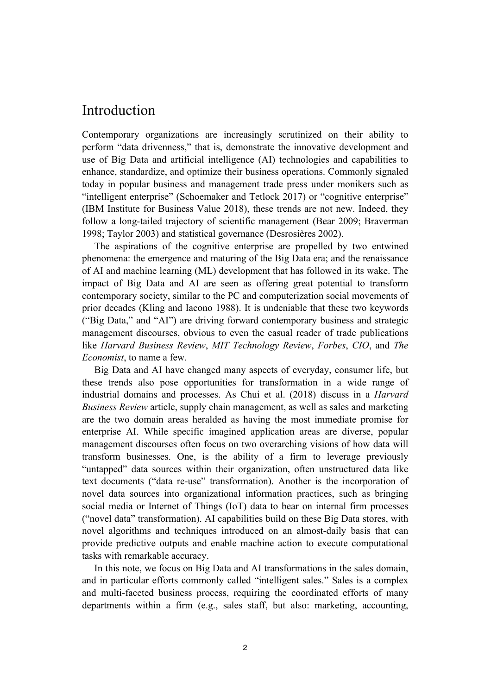### Introduction

Contemporary organizations are increasingly scrutinized on their ability to perform "data drivenness," that is, demonstrate the innovative development and use of Big Data and artificial intelligence (AI) technologies and capabilities to enhance, standardize, and optimize their business operations. Commonly signaled today in popular business and management trade press under monikers such as "intelligent enterprise" (Schoemaker and Tetlock 2017) or "cognitive enterprise" (IBM Institute for Business Value 2018), these trends are not new. Indeed, they follow a long-tailed trajectory of scientific management (Bear 2009; Braverman 1998; Taylor 2003) and statistical governance (Desrosières 2002).

 The aspirations of the cognitive enterprise are propelled by two entwined phenomena: the emergence and maturing of the Big Data era; and the renaissance of AI and machine learning (ML) development that has followed in its wake. The impact of Big Data and AI are seen as offering great potential to transform contemporary society, similar to the PC and computerization social movements of prior decades (Kling and Iacono 1988). It is undeniable that these two keywords ("Big Data," and "AI") are driving forward contemporary business and strategic management discourses, obvious to even the casual reader of trade publications like *Harvard Business Review*, *MIT Technology Review*, *Forbes*, *CIO*, and *The Economist*, to name a few.

 Big Data and AI have changed many aspects of everyday, consumer life, but these trends also pose opportunities for transformation in a wide range of industrial domains and processes. As Chui et al. (2018) discuss in a *Harvard Business Review* article, supply chain management, as well as sales and marketing are the two domain areas heralded as having the most immediate promise for enterprise AI. While specific imagined application areas are diverse, popular management discourses often focus on two overarching visions of how data will transform businesses. One, is the ability of a firm to leverage previously "untapped" data sources within their organization, often unstructured data like text documents ("data re-use" transformation). Another is the incorporation of novel data sources into organizational information practices, such as bringing social media or Internet of Things (IoT) data to bear on internal firm processes ("novel data" transformation). AI capabilities build on these Big Data stores, with novel algorithms and techniques introduced on an almost-daily basis that can provide predictive outputs and enable machine action to execute computational tasks with remarkable accuracy.

 In this note, we focus on Big Data and AI transformations in the sales domain, and in particular efforts commonly called "intelligent sales." Sales is a complex and multi-faceted business process, requiring the coordinated efforts of many departments within a firm (e.g., sales staff, but also: marketing, accounting,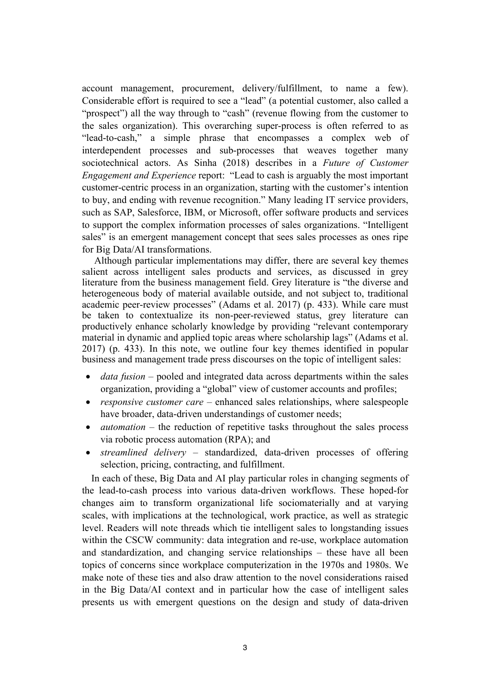account management, procurement, delivery/fulfillment, to name a few). Considerable effort is required to see a "lead" (a potential customer, also called a "prospect") all the way through to "cash" (revenue flowing from the customer to the sales organization). This overarching super-process is often referred to as "lead-to-cash," a simple phrase that encompasses a complex web of interdependent processes and sub-processes that weaves together many sociotechnical actors. As Sinha (2018) describes in a *Future of Customer Engagement and Experience* report: "Lead to cash is arguably the most important customer-centric process in an organization, starting with the customer's intention to buy, and ending with revenue recognition." Many leading IT service providers, such as SAP, Salesforce, IBM, or Microsoft, offer software products and services to support the complex information processes of sales organizations. "Intelligent sales" is an emergent management concept that sees sales processes as ones ripe for Big Data/AI transformations.

 Although particular implementations may differ, there are several key themes salient across intelligent sales products and services, as discussed in grey literature from the business management field. Grey literature is "the diverse and heterogeneous body of material available outside, and not subject to, traditional academic peer‐review processes" (Adams et al. 2017) (p. 433). While care must be taken to contextualize its non-peer-reviewed status, grey literature can productively enhance scholarly knowledge by providing "relevant contemporary material in dynamic and applied topic areas where scholarship lags" (Adams et al. 2017) (p. 433). In this note, we outline four key themes identified in popular business and management trade press discourses on the topic of intelligent sales:

- *data fusion* pooled and integrated data across departments within the sales organization, providing a "global" view of customer accounts and profiles;
- *responsive customer care* enhanced sales relationships, where salespeople have broader, data-driven understandings of customer needs;
- *automation* the reduction of repetitive tasks throughout the sales process via robotic process automation (RPA); and
- *streamlined delivery* standardized, data-driven processes of offering selection, pricing, contracting, and fulfillment.

 In each of these, Big Data and AI play particular roles in changing segments of the lead-to-cash process into various data-driven workflows. These hoped-for changes aim to transform organizational life sociomaterially and at varying scales, with implications at the technological, work practice, as well as strategic level. Readers will note threads which tie intelligent sales to longstanding issues within the CSCW community: data integration and re-use, workplace automation and standardization, and changing service relationships – these have all been topics of concerns since workplace computerization in the 1970s and 1980s. We make note of these ties and also draw attention to the novel considerations raised in the Big Data/AI context and in particular how the case of intelligent sales presents us with emergent questions on the design and study of data-driven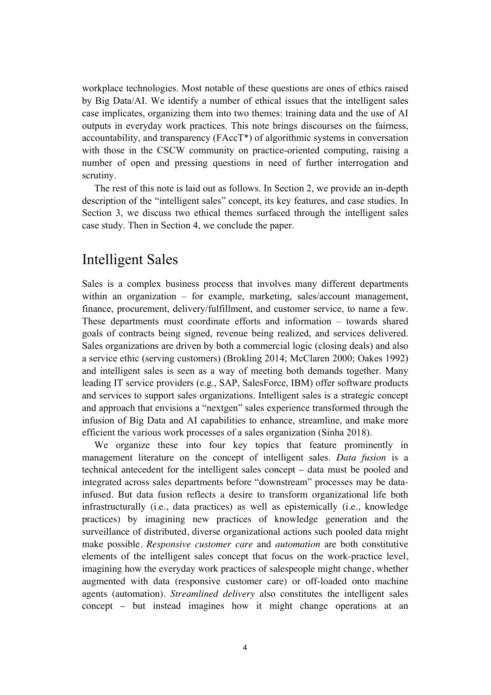workplace technologies. Most notable of these questions are ones of ethics raised by Big Data/AI. We identify a number of ethical issues that the intelligent sales case implicates, organizing them into two themes: training data and the use of AI outputs in everyday work practices. This note brings discourses on the fairness, accountability, and transparency (FAccT\*) of algorithmic systems in conversation with those in the CSCW community on practice-oriented computing, raising a number of open and pressing questions in need of further interrogation and scrutiny.

 The rest of this note is laid out as follows. In Section 2, we provide an in-depth description of the "intelligent sales" concept, its key features, and case studies. In Section 3, we discuss two ethical themes surfaced through the intelligent sales case study. Then in Section 4, we conclude the paper.

## Intelligent Sales

Sales is a complex business process that involves many different departments within an organization – for example, marketing, sales/account management, finance, procurement, delivery/fulfillment, and customer service, to name a few. These departments must coordinate efforts and information – towards shared goals of contracts being signed, revenue being realized, and services delivered. Sales organizations are driven by both a commercial logic (closing deals) and also a service ethic (serving customers) (Brokling 2014; McClaren 2000; Oakes 1992) and intelligent sales is seen as a way of meeting both demands together. Many leading IT service providers (e.g., SAP, SalesForce, IBM) offer software products and services to support sales organizations. Intelligent sales is a strategic concept and approach that envisions a "nextgen" sales experience transformed through the infusion of Big Data and AI capabilities to enhance, streamline, and make more efficient the various work processes of a sales organization (Sinha 2018).

 We organize these into four key topics that feature prominently in management literature on the concept of intelligent sales. *Data fusion* is a technical antecedent for the intelligent sales concept – data must be pooled and integrated across sales departments before "downstream" processes may be datainfused. But data fusion reflects a desire to transform organizational life both infrastructurally (i.e., data practices) as well as epistemically (i.e., knowledge practices) by imagining new practices of knowledge generation and the surveillance of distributed, diverse organizational actions such pooled data might make possible. *Responsive customer care* and *automation* are both constitutive elements of the intelligent sales concept that focus on the work-practice level, imagining how the everyday work practices of salespeople might change, whether augmented with data (responsive customer care) or off-loaded onto machine agents (automation). *Streamlined delivery* also constitutes the intelligent sales concept – but instead imagines how it might change operations at an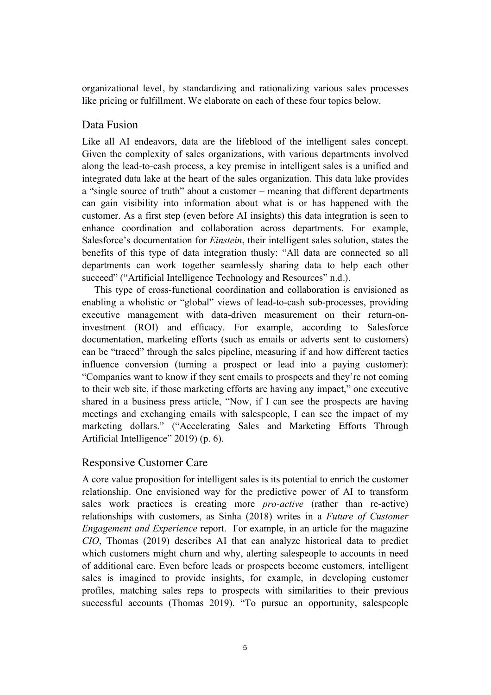organizational level, by standardizing and rationalizing various sales processes like pricing or fulfillment. We elaborate on each of these four topics below.

### Data Fusion

Like all AI endeavors, data are the lifeblood of the intelligent sales concept. Given the complexity of sales organizations, with various departments involved along the lead-to-cash process, a key premise in intelligent sales is a unified and integrated data lake at the heart of the sales organization. This data lake provides a "single source of truth" about a customer – meaning that different departments can gain visibility into information about what is or has happened with the customer. As a first step (even before AI insights) this data integration is seen to enhance coordination and collaboration across departments. For example, Salesforce's documentation for *Einstein*, their intelligent sales solution, states the benefits of this type of data integration thusly: "All data are connected so all departments can work together seamlessly sharing data to help each other succeed" ("Artificial Intelligence Technology and Resources" n.d.).

 This type of cross-functional coordination and collaboration is envisioned as enabling a wholistic or "global" views of lead-to-cash sub-processes, providing executive management with data-driven measurement on their return-oninvestment (ROI) and efficacy. For example, according to Salesforce documentation, marketing efforts (such as emails or adverts sent to customers) can be "traced" through the sales pipeline, measuring if and how different tactics influence conversion (turning a prospect or lead into a paying customer): "Companies want to know if they sent emails to prospects and they're not coming to their web site, if those marketing efforts are having any impact," one executive shared in a business press article, "Now, if I can see the prospects are having meetings and exchanging emails with salespeople, I can see the impact of my marketing dollars." ("Accelerating Sales and Marketing Efforts Through Artificial Intelligence" 2019) (p. 6).

#### Responsive Customer Care

A core value proposition for intelligent sales is its potential to enrich the customer relationship. One envisioned way for the predictive power of AI to transform sales work practices is creating more *pro-active* (rather than re-active) relationships with customers, as Sinha (2018) writes in a *Future of Customer Engagement and Experience* report. For example, in an article for the magazine *CIO*, Thomas (2019) describes AI that can analyze historical data to predict which customers might churn and why, alerting salespeople to accounts in need of additional care. Even before leads or prospects become customers, intelligent sales is imagined to provide insights, for example, in developing customer profiles, matching sales reps to prospects with similarities to their previous successful accounts (Thomas 2019). "To pursue an opportunity, salespeople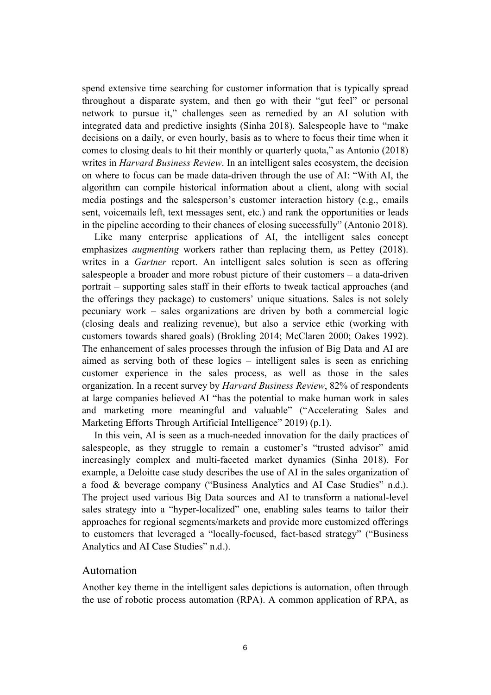spend extensive time searching for customer information that is typically spread throughout a disparate system, and then go with their "gut feel" or personal network to pursue it," challenges seen as remedied by an AI solution with integrated data and predictive insights (Sinha 2018). Salespeople have to "make decisions on a daily, or even hourly, basis as to where to focus their time when it comes to closing deals to hit their monthly or quarterly quota," as Antonio (2018) writes in *Harvard Business Review*. In an intelligent sales ecosystem, the decision on where to focus can be made data-driven through the use of AI: "With AI, the algorithm can compile historical information about a client, along with social media postings and the salesperson's customer interaction history (e.g., emails sent, voicemails left, text messages sent, etc.) and rank the opportunities or leads in the pipeline according to their chances of closing successfully" (Antonio 2018).

 Like many enterprise applications of AI, the intelligent sales concept emphasizes *augmenting* workers rather than replacing them, as Pettey (2018). writes in a *Gartner* report. An intelligent sales solution is seen as offering salespeople a broader and more robust picture of their customers – a data-driven portrait – supporting sales staff in their efforts to tweak tactical approaches (and the offerings they package) to customers' unique situations. Sales is not solely pecuniary work – sales organizations are driven by both a commercial logic (closing deals and realizing revenue), but also a service ethic (working with customers towards shared goals) (Brokling 2014; McClaren 2000; Oakes 1992). The enhancement of sales processes through the infusion of Big Data and AI are aimed as serving both of these logics – intelligent sales is seen as enriching customer experience in the sales process, as well as those in the sales organization. In a recent survey by *Harvard Business Review*, 82% of respondents at large companies believed AI "has the potential to make human work in sales and marketing more meaningful and valuable" ("Accelerating Sales and Marketing Efforts Through Artificial Intelligence" 2019) (p.1).

 In this vein, AI is seen as a much-needed innovation for the daily practices of salespeople, as they struggle to remain a customer's "trusted advisor" amid increasingly complex and multi-faceted market dynamics (Sinha 2018). For example, a Deloitte case study describes the use of AI in the sales organization of a food & beverage company ("Business Analytics and AI Case Studies" n.d.). The project used various Big Data sources and AI to transform a national-level sales strategy into a "hyper-localized" one, enabling sales teams to tailor their approaches for regional segments/markets and provide more customized offerings to customers that leveraged a "locally-focused, fact-based strategy" ("Business Analytics and AI Case Studies" n.d.).

#### Automation

Another key theme in the intelligent sales depictions is automation, often through the use of robotic process automation (RPA). A common application of RPA, as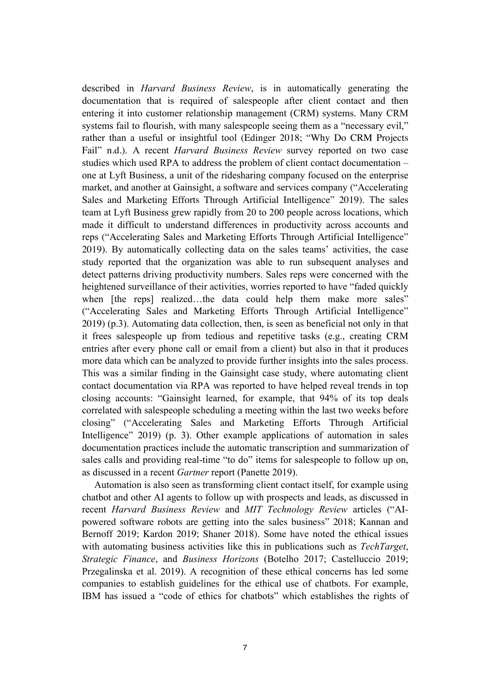described in *Harvard Business Review*, is in automatically generating the documentation that is required of salespeople after client contact and then entering it into customer relationship management (CRM) systems. Many CRM systems fail to flourish, with many salespeople seeing them as a "necessary evil," rather than a useful or insightful tool (Edinger 2018; "Why Do CRM Projects Fail" n.d.). A recent *Harvard Business Review* survey reported on two case studies which used RPA to address the problem of client contact documentation – one at Lyft Business, a unit of the ridesharing company focused on the enterprise market, and another at Gainsight, a software and services company ("Accelerating Sales and Marketing Efforts Through Artificial Intelligence" 2019). The sales team at Lyft Business grew rapidly from 20 to 200 people across locations, which made it difficult to understand differences in productivity across accounts and reps ("Accelerating Sales and Marketing Efforts Through Artificial Intelligence" 2019). By automatically collecting data on the sales teams' activities, the case study reported that the organization was able to run subsequent analyses and detect patterns driving productivity numbers. Sales reps were concerned with the heightened surveillance of their activities, worries reported to have "faded quickly when [the reps] realized...the data could help them make more sales" ("Accelerating Sales and Marketing Efforts Through Artificial Intelligence" 2019) (p.3). Automating data collection, then, is seen as beneficial not only in that it frees salespeople up from tedious and repetitive tasks (e.g., creating CRM entries after every phone call or email from a client) but also in that it produces more data which can be analyzed to provide further insights into the sales process. This was a similar finding in the Gainsight case study, where automating client contact documentation via RPA was reported to have helped reveal trends in top closing accounts: "Gainsight learned, for example, that 94% of its top deals correlated with salespeople scheduling a meeting within the last two weeks before closing" ("Accelerating Sales and Marketing Efforts Through Artificial Intelligence" 2019) (p. 3). Other example applications of automation in sales documentation practices include the automatic transcription and summarization of sales calls and providing real-time "to do" items for salespeople to follow up on, as discussed in a recent *Gartner* report (Panette 2019).

 Automation is also seen as transforming client contact itself, for example using chatbot and other AI agents to follow up with prospects and leads, as discussed in recent *Harvard Business Review* and *MIT Technology Review* articles ("AIpowered software robots are getting into the sales business" 2018; Kannan and Bernoff 2019; Kardon 2019; Shaner 2018). Some have noted the ethical issues with automating business activities like this in publications such as *TechTarget*, *Strategic Finance*, and *Business Horizons* (Botelho 2017; Castelluccio 2019; Przegalinska et al. 2019). A recognition of these ethical concerns has led some companies to establish guidelines for the ethical use of chatbots. For example, IBM has issued a "code of ethics for chatbots" which establishes the rights of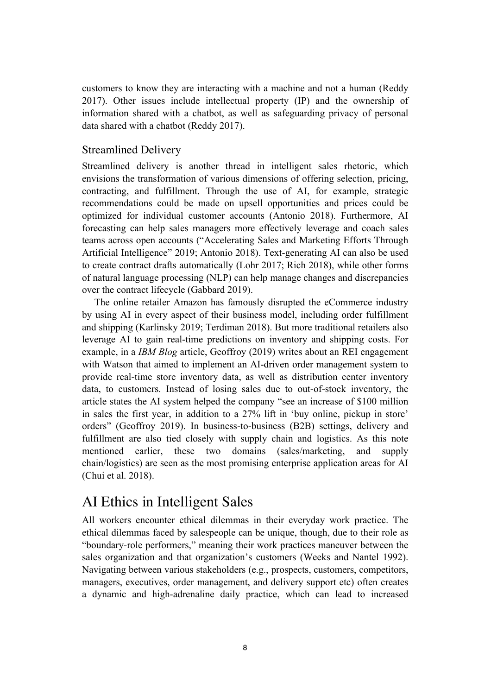customers to know they are interacting with a machine and not a human (Reddy 2017). Other issues include intellectual property (IP) and the ownership of information shared with a chatbot, as well as safeguarding privacy of personal data shared with a chatbot (Reddy 2017).

### Streamlined Delivery

Streamlined delivery is another thread in intelligent sales rhetoric, which envisions the transformation of various dimensions of offering selection, pricing, contracting, and fulfillment. Through the use of AI, for example, strategic recommendations could be made on upsell opportunities and prices could be optimized for individual customer accounts (Antonio 2018). Furthermore, AI forecasting can help sales managers more effectively leverage and coach sales teams across open accounts ("Accelerating Sales and Marketing Efforts Through Artificial Intelligence" 2019; Antonio 2018). Text-generating AI can also be used to create contract drafts automatically (Lohr 2017; Rich 2018), while other forms of natural language processing (NLP) can help manage changes and discrepancies over the contract lifecycle (Gabbard 2019).

 The online retailer Amazon has famously disrupted the eCommerce industry by using AI in every aspect of their business model, including order fulfillment and shipping (Karlinsky 2019; Terdiman 2018). But more traditional retailers also leverage AI to gain real-time predictions on inventory and shipping costs. For example, in a *IBM Blog* article, Geoffroy (2019) writes about an REI engagement with Watson that aimed to implement an AI-driven order management system to provide real-time store inventory data, as well as distribution center inventory data, to customers. Instead of losing sales due to out-of-stock inventory, the article states the AI system helped the company "see an increase of \$100 million in sales the first year, in addition to a 27% lift in 'buy online, pickup in store' orders" (Geoffroy 2019). In business-to-business (B2B) settings, delivery and fulfillment are also tied closely with supply chain and logistics. As this note mentioned earlier, these two domains (sales/marketing, and supply chain/logistics) are seen as the most promising enterprise application areas for AI (Chui et al. 2018).

# AI Ethics in Intelligent Sales

All workers encounter ethical dilemmas in their everyday work practice. The ethical dilemmas faced by salespeople can be unique, though, due to their role as "boundary-role performers," meaning their work practices maneuver between the sales organization and that organization's customers (Weeks and Nantel 1992). Navigating between various stakeholders (e.g., prospects, customers, competitors, managers, executives, order management, and delivery support etc) often creates a dynamic and high-adrenaline daily practice, which can lead to increased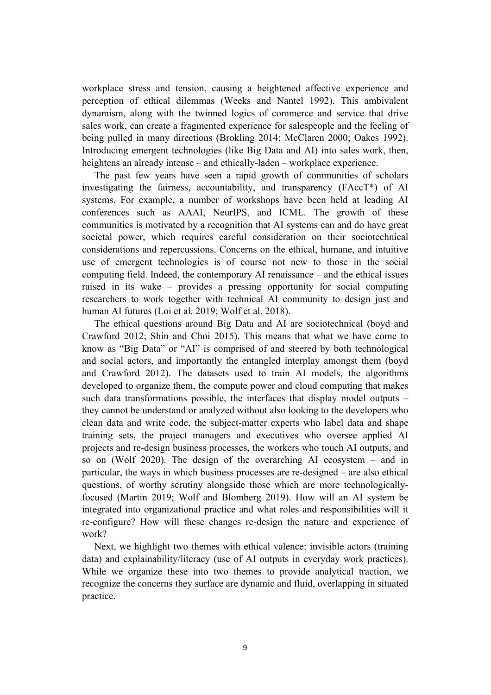workplace stress and tension, causing a heightened affective experience and perception of ethical dilemmas (Weeks and Nantel 1992). This ambivalent dynamism, along with the twinned logics of commerce and service that drive sales work, can create a fragmented experience for salespeople and the feeling of being pulled in many directions (Brokling 2014; McClaren 2000; Oakes 1992). Introducing emergent technologies (like Big Data and AI) into sales work, then, heightens an already intense – and ethically-laden – workplace experience.

 The past few years have seen a rapid growth of communities of scholars investigating the fairness, accountability, and transparency (FAccT\*) of AI systems. For example, a number of workshops have been held at leading AI conferences such as AAAI, NeurIPS, and ICML. The growth of these communities is motivated by a recognition that AI systems can and do have great societal power, which requires careful consideration on their sociotechnical considerations and repercussions. Concerns on the ethical, humane, and intuitive use of emergent technologies is of course not new to those in the social computing field. Indeed, the contemporary AI renaissance – and the ethical issues raised in its wake – provides a pressing opportunity for social computing researchers to work together with technical AI community to design just and human AI futures (Loi et al. 2019; Wolf et al. 2018).

 The ethical questions around Big Data and AI are sociotechnical (boyd and Crawford 2012; Shin and Choi 2015). This means that what we have come to know as "Big Data" or "AI" is comprised of and steered by both technological and social actors, and importantly the entangled interplay amongst them (boyd and Crawford 2012). The datasets used to train AI models, the algorithms developed to organize them, the compute power and cloud computing that makes such data transformations possible, the interfaces that display model outputs – they cannot be understand or analyzed without also looking to the developers who clean data and write code, the subject-matter experts who label data and shape training sets, the project managers and executives who oversee applied AI projects and re-design business processes, the workers who touch AI outputs, and so on (Wolf 2020). The design of the overarching AI ecosystem – and in particular, the ways in which business processes are re-designed – are also ethical questions, of worthy scrutiny alongside those which are more technologicallyfocused (Martin 2019; Wolf and Blomberg 2019). How will an AI system be integrated into organizational practice and what roles and responsibilities will it re-configure? How will these changes re-design the nature and experience of work?

 Next, we highlight two themes with ethical valence: invisible actors (training data) and explainability/literacy (use of AI outputs in everyday work practices). While we organize these into two themes to provide analytical traction, we recognize the concerns they surface are dynamic and fluid, overlapping in situated practice.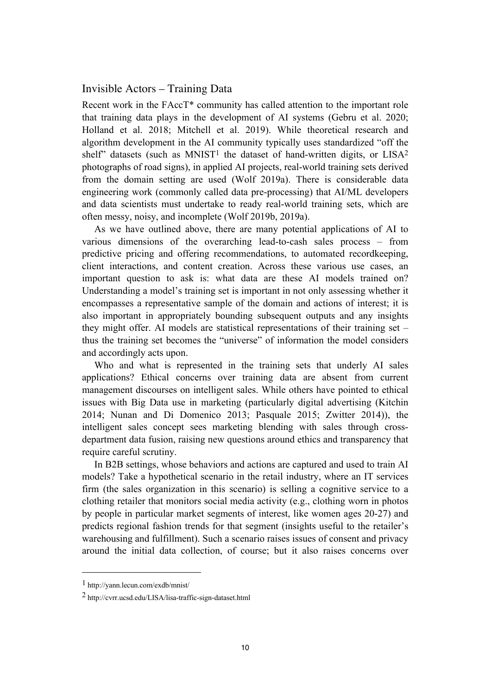#### Invisible Actors – Training Data

Recent work in the FAccT\* community has called attention to the important role that training data plays in the development of AI systems (Gebru et al. 2020; Holland et al. 2018; Mitchell et al. 2019). While theoretical research and algorithm development in the AI community typically uses standardized "off the shelf" datasets (such as MNIST<sup>1</sup> the dataset of hand-written digits, or  $LISA<sup>2</sup>$ photographs of road signs), in applied AI projects, real-world training sets derived from the domain setting are used (Wolf 2019a). There is considerable data engineering work (commonly called data pre-processing) that AI/ML developers and data scientists must undertake to ready real-world training sets, which are often messy, noisy, and incomplete (Wolf 2019b, 2019a).

 As we have outlined above, there are many potential applications of AI to various dimensions of the overarching lead-to-cash sales process – from predictive pricing and offering recommendations, to automated recordkeeping, client interactions, and content creation. Across these various use cases, an important question to ask is: what data are these AI models trained on? Understanding a model's training set is important in not only assessing whether it encompasses a representative sample of the domain and actions of interest; it is also important in appropriately bounding subsequent outputs and any insights they might offer. AI models are statistical representations of their training set – thus the training set becomes the "universe" of information the model considers and accordingly acts upon.

 Who and what is represented in the training sets that underly AI sales applications? Ethical concerns over training data are absent from current management discourses on intelligent sales. While others have pointed to ethical issues with Big Data use in marketing (particularly digital advertising (Kitchin 2014; Nunan and Di Domenico 2013; Pasquale 2015; Zwitter 2014)), the intelligent sales concept sees marketing blending with sales through crossdepartment data fusion, raising new questions around ethics and transparency that require careful scrutiny.

 In B2B settings, whose behaviors and actions are captured and used to train AI models? Take a hypothetical scenario in the retail industry, where an IT services firm (the sales organization in this scenario) is selling a cognitive service to a clothing retailer that monitors social media activity (e.g., clothing worn in photos by people in particular market segments of interest, like women ages 20-27) and predicts regional fashion trends for that segment (insights useful to the retailer's warehousing and fulfillment). Such a scenario raises issues of consent and privacy around the initial data collection, of course; but it also raises concerns over

<sup>1</sup> http://yann.lecun.com/exdb/mnist/

<sup>2</sup> http://cvrr.ucsd.edu/LISA/lisa-traffic-sign-dataset.html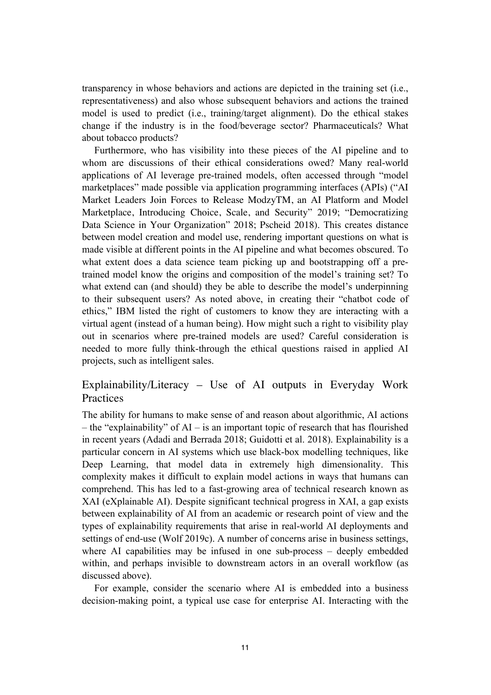transparency in whose behaviors and actions are depicted in the training set (i.e., representativeness) and also whose subsequent behaviors and actions the trained model is used to predict (i.e., training/target alignment). Do the ethical stakes change if the industry is in the food/beverage sector? Pharmaceuticals? What about tobacco products?

 Furthermore, who has visibility into these pieces of the AI pipeline and to whom are discussions of their ethical considerations owed? Many real-world applications of AI leverage pre-trained models, often accessed through "model marketplaces" made possible via application programming interfaces (APIs) ("AI Market Leaders Join Forces to Release ModzyTM, an AI Platform and Model Marketplace, Introducing Choice, Scale, and Security" 2019; "Democratizing Data Science in Your Organization" 2018; Pscheid 2018). This creates distance between model creation and model use, rendering important questions on what is made visible at different points in the AI pipeline and what becomes obscured. To what extent does a data science team picking up and bootstrapping off a pretrained model know the origins and composition of the model's training set? To what extend can (and should) they be able to describe the model's underpinning to their subsequent users? As noted above, in creating their "chatbot code of ethics," IBM listed the right of customers to know they are interacting with a virtual agent (instead of a human being). How might such a right to visibility play out in scenarios where pre-trained models are used? Careful consideration is needed to more fully think-through the ethical questions raised in applied AI projects, such as intelligent sales.

### Explainability/Literacy – Use of AI outputs in Everyday Work Practices

The ability for humans to make sense of and reason about algorithmic, AI actions – the "explainability" of AI – is an important topic of research that has flourished in recent years (Adadi and Berrada 2018; Guidotti et al. 2018). Explainability is a particular concern in AI systems which use black-box modelling techniques, like Deep Learning, that model data in extremely high dimensionality. This complexity makes it difficult to explain model actions in ways that humans can comprehend. This has led to a fast-growing area of technical research known as XAI (eXplainable AI). Despite significant technical progress in XAI, a gap exists between explainability of AI from an academic or research point of view and the types of explainability requirements that arise in real-world AI deployments and settings of end-use (Wolf 2019c). A number of concerns arise in business settings, where AI capabilities may be infused in one sub-process – deeply embedded within, and perhaps invisible to downstream actors in an overall workflow (as discussed above).

 For example, consider the scenario where AI is embedded into a business decision-making point, a typical use case for enterprise AI. Interacting with the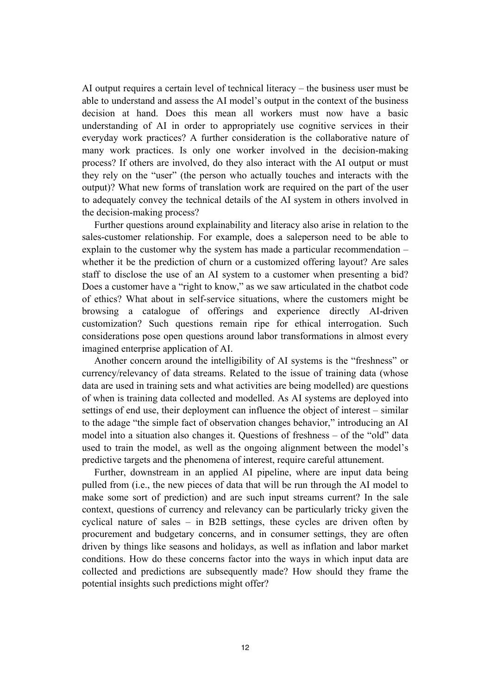AI output requires a certain level of technical literacy – the business user must be able to understand and assess the AI model's output in the context of the business decision at hand. Does this mean all workers must now have a basic understanding of AI in order to appropriately use cognitive services in their everyday work practices? A further consideration is the collaborative nature of many work practices. Is only one worker involved in the decision-making process? If others are involved, do they also interact with the AI output or must they rely on the "user" (the person who actually touches and interacts with the output)? What new forms of translation work are required on the part of the user to adequately convey the technical details of the AI system in others involved in the decision-making process?

 Further questions around explainability and literacy also arise in relation to the sales-customer relationship. For example, does a saleperson need to be able to explain to the customer why the system has made a particular recommendation – whether it be the prediction of churn or a customized offering layout? Are sales staff to disclose the use of an AI system to a customer when presenting a bid? Does a customer have a "right to know," as we saw articulated in the chatbot code of ethics? What about in self-service situations, where the customers might be browsing a catalogue of offerings and experience directly AI-driven customization? Such questions remain ripe for ethical interrogation. Such considerations pose open questions around labor transformations in almost every imagined enterprise application of AI.

 Another concern around the intelligibility of AI systems is the "freshness" or currency/relevancy of data streams. Related to the issue of training data (whose data are used in training sets and what activities are being modelled) are questions of when is training data collected and modelled. As AI systems are deployed into settings of end use, their deployment can influence the object of interest – similar to the adage "the simple fact of observation changes behavior," introducing an AI model into a situation also changes it. Questions of freshness – of the "old" data used to train the model, as well as the ongoing alignment between the model's predictive targets and the phenomena of interest, require careful attunement.

 Further, downstream in an applied AI pipeline, where are input data being pulled from (i.e., the new pieces of data that will be run through the AI model to make some sort of prediction) and are such input streams current? In the sale context, questions of currency and relevancy can be particularly tricky given the cyclical nature of sales – in B2B settings, these cycles are driven often by procurement and budgetary concerns, and in consumer settings, they are often driven by things like seasons and holidays, as well as inflation and labor market conditions. How do these concerns factor into the ways in which input data are collected and predictions are subsequently made? How should they frame the potential insights such predictions might offer?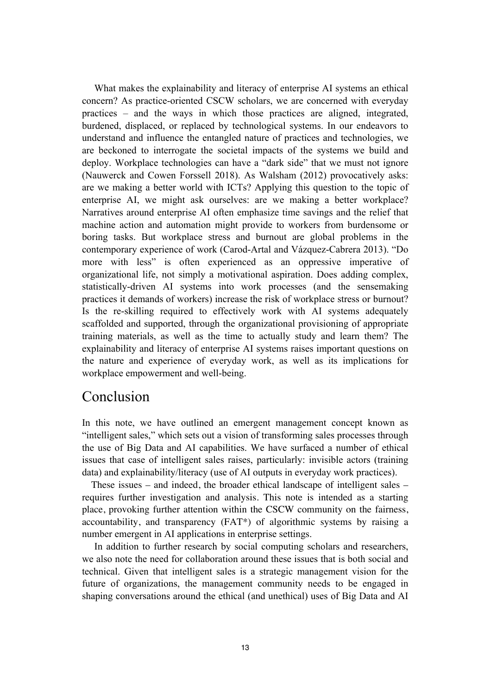What makes the explainability and literacy of enterprise AI systems an ethical concern? As practice-oriented CSCW scholars, we are concerned with everyday practices – and the ways in which those practices are aligned, integrated, burdened, displaced, or replaced by technological systems. In our endeavors to understand and influence the entangled nature of practices and technologies, we are beckoned to interrogate the societal impacts of the systems we build and deploy. Workplace technologies can have a "dark side" that we must not ignore (Nauwerck and Cowen Forssell 2018). As Walsham (2012) provocatively asks: are we making a better world with ICTs? Applying this question to the topic of enterprise AI, we might ask ourselves: are we making a better workplace? Narratives around enterprise AI often emphasize time savings and the relief that machine action and automation might provide to workers from burdensome or boring tasks. But workplace stress and burnout are global problems in the contemporary experience of work (Carod-Artal and Vázquez-Cabrera 2013). "Do more with less" is often experienced as an oppressive imperative of organizational life, not simply a motivational aspiration. Does adding complex, statistically-driven AI systems into work processes (and the sensemaking practices it demands of workers) increase the risk of workplace stress or burnout? Is the re-skilling required to effectively work with AI systems adequately scaffolded and supported, through the organizational provisioning of appropriate training materials, as well as the time to actually study and learn them? The explainability and literacy of enterprise AI systems raises important questions on the nature and experience of everyday work, as well as its implications for workplace empowerment and well-being.

### Conclusion

In this note, we have outlined an emergent management concept known as "intelligent sales," which sets out a vision of transforming sales processes through the use of Big Data and AI capabilities. We have surfaced a number of ethical issues that case of intelligent sales raises, particularly: invisible actors (training data) and explainability/literacy (use of AI outputs in everyday work practices).

 These issues – and indeed, the broader ethical landscape of intelligent sales – requires further investigation and analysis. This note is intended as a starting place, provoking further attention within the CSCW community on the fairness, accountability, and transparency (FAT\*) of algorithmic systems by raising a number emergent in AI applications in enterprise settings.

 In addition to further research by social computing scholars and researchers, we also note the need for collaboration around these issues that is both social and technical. Given that intelligent sales is a strategic management vision for the future of organizations, the management community needs to be engaged in shaping conversations around the ethical (and unethical) uses of Big Data and AI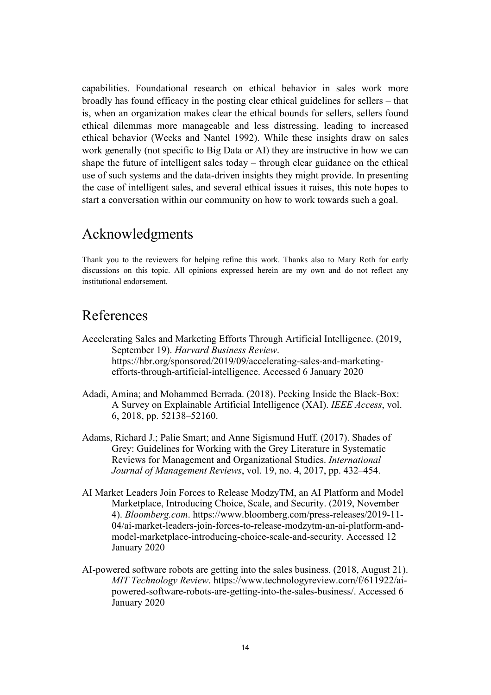capabilities. Foundational research on ethical behavior in sales work more broadly has found efficacy in the posting clear ethical guidelines for sellers – that is, when an organization makes clear the ethical bounds for sellers, sellers found ethical dilemmas more manageable and less distressing, leading to increased ethical behavior (Weeks and Nantel 1992). While these insights draw on sales work generally (not specific to Big Data or AI) they are instructive in how we can shape the future of intelligent sales today – through clear guidance on the ethical use of such systems and the data-driven insights they might provide. In presenting the case of intelligent sales, and several ethical issues it raises, this note hopes to start a conversation within our community on how to work towards such a goal.

### Acknowledgments

Thank you to the reviewers for helping refine this work. Thanks also to Mary Roth for early discussions on this topic. All opinions expressed herein are my own and do not reflect any institutional endorsement.

# References

- Accelerating Sales and Marketing Efforts Through Artificial Intelligence. (2019, September 19). *Harvard Business Review*. https://hbr.org/sponsored/2019/09/accelerating-sales-and-marketingefforts-through-artificial-intelligence. Accessed 6 January 2020
- Adadi, Amina; and Mohammed Berrada. (2018). Peeking Inside the Black-Box: A Survey on Explainable Artificial Intelligence (XAI). *IEEE Access*, vol. 6, 2018, pp. 52138–52160.
- Adams, Richard J.; Palie Smart; and Anne Sigismund Huff. (2017). Shades of Grey: Guidelines for Working with the Grey Literature in Systematic Reviews for Management and Organizational Studies. *International Journal of Management Reviews*, vol. 19, no. 4, 2017, pp. 432–454.
- AI Market Leaders Join Forces to Release ModzyTM, an AI Platform and Model Marketplace, Introducing Choice, Scale, and Security. (2019, November 4). *Bloomberg.com*. https://www.bloomberg.com/press-releases/2019-11- 04/ai-market-leaders-join-forces-to-release-modzytm-an-ai-platform-andmodel-marketplace-introducing-choice-scale-and-security. Accessed 12 January 2020
- AI-powered software robots are getting into the sales business. (2018, August 21). *MIT Technology Review*. https://www.technologyreview.com/f/611922/aipowered-software-robots-are-getting-into-the-sales-business/. Accessed 6 January 2020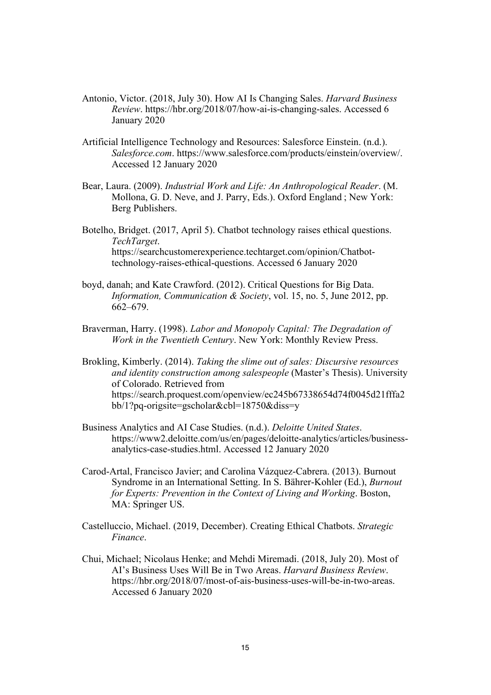- Antonio, Victor. (2018, July 30). How AI Is Changing Sales. *Harvard Business Review*. https://hbr.org/2018/07/how-ai-is-changing-sales. Accessed 6 January 2020
- Artificial Intelligence Technology and Resources: Salesforce Einstein. (n.d.). *Salesforce.com*. https://www.salesforce.com/products/einstein/overview/. Accessed 12 January 2020
- Bear, Laura. (2009). *Industrial Work and Life: An Anthropological Reader*. (M. Mollona, G. D. Neve, and J. Parry, Eds.). Oxford England ; New York: Berg Publishers.
- Botelho, Bridget. (2017, April 5). Chatbot technology raises ethical questions. *TechTarget*. https://searchcustomerexperience.techtarget.com/opinion/Chatbottechnology-raises-ethical-questions. Accessed 6 January 2020
- boyd, danah; and Kate Crawford. (2012). Critical Questions for Big Data. *Information, Communication & Society*, vol. 15, no. 5, June 2012, pp. 662–679.
- Braverman, Harry. (1998). *Labor and Monopoly Capital: The Degradation of Work in the Twentieth Century*. New York: Monthly Review Press.
- Brokling, Kimberly. (2014). *Taking the slime out of sales: Discursive resources and identity construction among salespeople* (Master's Thesis). University of Colorado. Retrieved from https://search.proquest.com/openview/ec245b67338654d74f0045d21fffa2 bb/1?pq-origsite=gscholar&cbl=18750&diss=y
- Business Analytics and AI Case Studies. (n.d.). *Deloitte United States*. https://www2.deloitte.com/us/en/pages/deloitte-analytics/articles/businessanalytics-case-studies.html. Accessed 12 January 2020
- Carod-Artal, Francisco Javier; and Carolina Vázquez-Cabrera. (2013). Burnout Syndrome in an International Setting. In S. Bährer-Kohler (Ed.), *Burnout for Experts: Prevention in the Context of Living and Working*. Boston, MA: Springer US.
- Castelluccio, Michael. (2019, December). Creating Ethical Chatbots. *Strategic Finance*.
- Chui, Michael; Nicolaus Henke; and Mehdi Miremadi. (2018, July 20). Most of AI's Business Uses Will Be in Two Areas. *Harvard Business Review*. https://hbr.org/2018/07/most-of-ais-business-uses-will-be-in-two-areas. Accessed 6 January 2020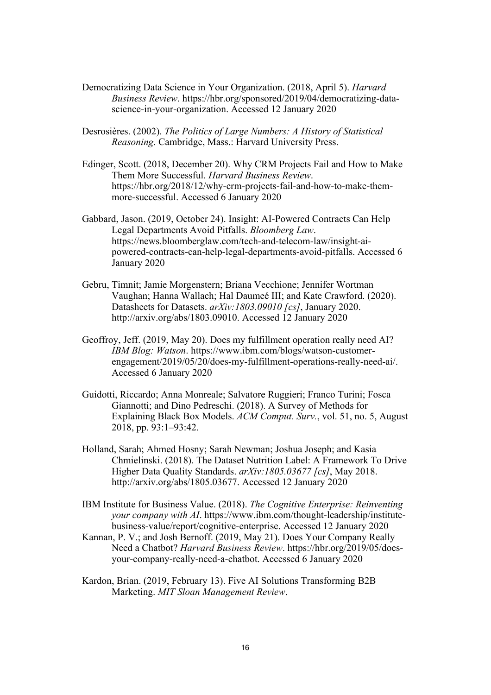- Democratizing Data Science in Your Organization. (2018, April 5). *Harvard Business Review*. https://hbr.org/sponsored/2019/04/democratizing-datascience-in-your-organization. Accessed 12 January 2020
- Desrosières. (2002). *The Politics of Large Numbers: A History of Statistical Reasoning*. Cambridge, Mass.: Harvard University Press.
- Edinger, Scott. (2018, December 20). Why CRM Projects Fail and How to Make Them More Successful. *Harvard Business Review*. https://hbr.org/2018/12/why-crm-projects-fail-and-how-to-make-themmore-successful. Accessed 6 January 2020
- Gabbard, Jason. (2019, October 24). Insight: AI-Powered Contracts Can Help Legal Departments Avoid Pitfalls. *Bloomberg Law*. https://news.bloomberglaw.com/tech-and-telecom-law/insight-aipowered-contracts-can-help-legal-departments-avoid-pitfalls. Accessed 6 January 2020
- Gebru, Timnit; Jamie Morgenstern; Briana Vecchione; Jennifer Wortman Vaughan; Hanna Wallach; Hal Daumeé III; and Kate Crawford. (2020). Datasheets for Datasets. *arXiv:1803.09010 [cs]*, January 2020. http://arxiv.org/abs/1803.09010. Accessed 12 January 2020
- Geoffroy, Jeff. (2019, May 20). Does my fulfillment operation really need AI? *IBM Blog: Watson*. https://www.ibm.com/blogs/watson-customerengagement/2019/05/20/does-my-fulfillment-operations-really-need-ai/. Accessed 6 January 2020
- Guidotti, Riccardo; Anna Monreale; Salvatore Ruggieri; Franco Turini; Fosca Giannotti; and Dino Pedreschi. (2018). A Survey of Methods for Explaining Black Box Models. *ACM Comput. Surv.*, vol. 51, no. 5, August 2018, pp. 93:1–93:42.
- Holland, Sarah; Ahmed Hosny; Sarah Newman; Joshua Joseph; and Kasia Chmielinski. (2018). The Dataset Nutrition Label: A Framework To Drive Higher Data Quality Standards. *arXiv:1805.03677 [cs]*, May 2018. http://arxiv.org/abs/1805.03677. Accessed 12 January 2020
- IBM Institute for Business Value. (2018). *The Cognitive Enterprise: Reinventing your company with AI*. https://www.ibm.com/thought-leadership/institutebusiness-value/report/cognitive-enterprise. Accessed 12 January 2020
- Kannan, P. V.; and Josh Bernoff. (2019, May 21). Does Your Company Really Need a Chatbot? *Harvard Business Review*. https://hbr.org/2019/05/doesyour-company-really-need-a-chatbot. Accessed 6 January 2020
- Kardon, Brian. (2019, February 13). Five AI Solutions Transforming B2B Marketing. *MIT Sloan Management Review*.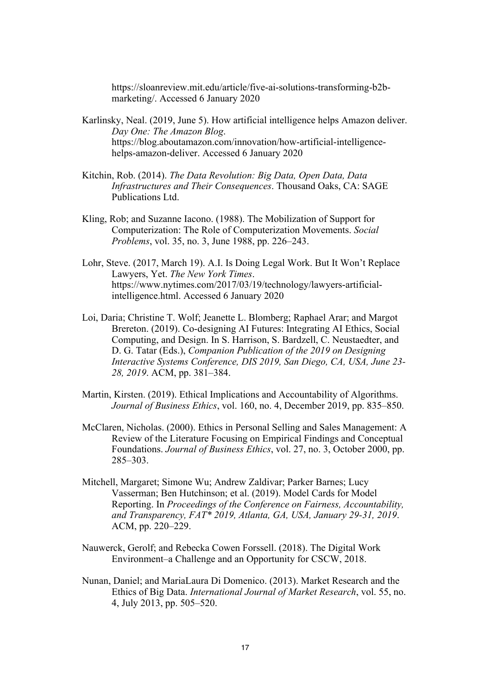https://sloanreview.mit.edu/article/five-ai-solutions-transforming-b2bmarketing/. Accessed 6 January 2020

- Karlinsky, Neal. (2019, June 5). How artificial intelligence helps Amazon deliver. *Day One: The Amazon Blog*. https://blog.aboutamazon.com/innovation/how-artificial-intelligencehelps-amazon-deliver. Accessed 6 January 2020
- Kitchin, Rob. (2014). *The Data Revolution: Big Data, Open Data, Data Infrastructures and Their Consequences*. Thousand Oaks, CA: SAGE Publications Ltd.
- Kling, Rob; and Suzanne Iacono. (1988). The Mobilization of Support for Computerization: The Role of Computerization Movements. *Social Problems*, vol. 35, no. 3, June 1988, pp. 226–243.
- Lohr, Steve. (2017, March 19). A.I. Is Doing Legal Work. But It Won't Replace Lawyers, Yet. *The New York Times*. https://www.nytimes.com/2017/03/19/technology/lawyers-artificialintelligence.html. Accessed 6 January 2020
- Loi, Daria; Christine T. Wolf; Jeanette L. Blomberg; Raphael Arar; and Margot Brereton. (2019). Co-designing AI Futures: Integrating AI Ethics, Social Computing, and Design. In S. Harrison, S. Bardzell, C. Neustaedter, and D. G. Tatar (Eds.), *Companion Publication of the 2019 on Designing Interactive Systems Conference, DIS 2019, San Diego, CA, USA, June 23- 28, 2019*. ACM, pp. 381–384.
- Martin, Kirsten. (2019). Ethical Implications and Accountability of Algorithms. *Journal of Business Ethics*, vol. 160, no. 4, December 2019, pp. 835–850.
- McClaren, Nicholas. (2000). Ethics in Personal Selling and Sales Management: A Review of the Literature Focusing on Empirical Findings and Conceptual Foundations. *Journal of Business Ethics*, vol. 27, no. 3, October 2000, pp. 285–303.
- Mitchell, Margaret; Simone Wu; Andrew Zaldivar; Parker Barnes; Lucy Vasserman; Ben Hutchinson; et al. (2019). Model Cards for Model Reporting. In *Proceedings of the Conference on Fairness, Accountability, and Transparency, FAT\* 2019, Atlanta, GA, USA, January 29-31, 2019*. ACM, pp. 220–229.
- Nauwerck, Gerolf; and Rebecka Cowen Forssell. (2018). The Digital Work Environment–a Challenge and an Opportunity for CSCW, 2018.
- Nunan, Daniel; and MariaLaura Di Domenico. (2013). Market Research and the Ethics of Big Data. *International Journal of Market Research*, vol. 55, no. 4, July 2013, pp. 505–520.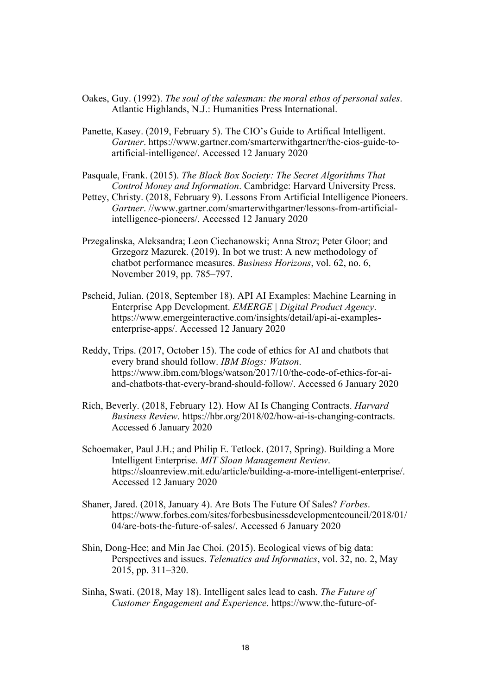- Oakes, Guy. (1992). *The soul of the salesman: the moral ethos of personal sales*. Atlantic Highlands, N.J.: Humanities Press International.
- Panette, Kasey. (2019, February 5). The CIO's Guide to Artifical Intelligent. *Gartner*. https://www.gartner.com/smarterwithgartner/the-cios-guide-toartificial-intelligence/. Accessed 12 January 2020
- Pasquale, Frank. (2015). *The Black Box Society: The Secret Algorithms That Control Money and Information*. Cambridge: Harvard University Press.
- Pettey, Christy. (2018, February 9). Lessons From Artificial Intelligence Pioneers. *Gartner*. //www.gartner.com/smarterwithgartner/lessons-from-artificialintelligence-pioneers/. Accessed 12 January 2020
- Przegalinska, Aleksandra; Leon Ciechanowski; Anna Stroz; Peter Gloor; and Grzegorz Mazurek. (2019). In bot we trust: A new methodology of chatbot performance measures. *Business Horizons*, vol. 62, no. 6, November 2019, pp. 785–797.
- Pscheid, Julian. (2018, September 18). API AI Examples: Machine Learning in Enterprise App Development. *EMERGE | Digital Product Agency*. https://www.emergeinteractive.com/insights/detail/api-ai-examplesenterprise-apps/. Accessed 12 January 2020
- Reddy, Trips. (2017, October 15). The code of ethics for AI and chatbots that every brand should follow. *IBM Blogs: Watson*. https://www.ibm.com/blogs/watson/2017/10/the-code-of-ethics-for-aiand-chatbots-that-every-brand-should-follow/. Accessed 6 January 2020
- Rich, Beverly. (2018, February 12). How AI Is Changing Contracts. *Harvard Business Review*. https://hbr.org/2018/02/how-ai-is-changing-contracts. Accessed 6 January 2020
- Schoemaker, Paul J.H.; and Philip E. Tetlock. (2017, Spring). Building a More Intelligent Enterprise. *MIT Sloan Management Review*. https://sloanreview.mit.edu/article/building-a-more-intelligent-enterprise/. Accessed 12 January 2020
- Shaner, Jared. (2018, January 4). Are Bots The Future Of Sales? *Forbes*. https://www.forbes.com/sites/forbesbusinessdevelopmentcouncil/2018/01/ 04/are-bots-the-future-of-sales/. Accessed 6 January 2020
- Shin, Dong-Hee; and Min Jae Choi. (2015). Ecological views of big data: Perspectives and issues. *Telematics and Informatics*, vol. 32, no. 2, May 2015, pp. 311–320.
- Sinha, Swati. (2018, May 18). Intelligent sales lead to cash. *The Future of Customer Engagement and Experience*. https://www.the-future-of-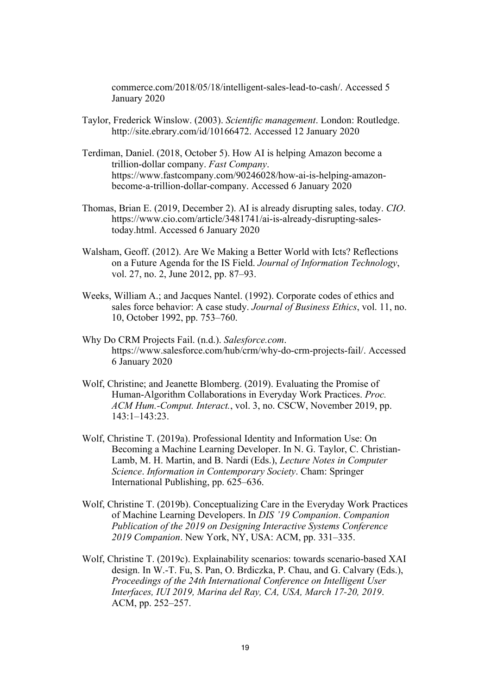commerce.com/2018/05/18/intelligent-sales-lead-to-cash/. Accessed 5 January 2020

- Taylor, Frederick Winslow. (2003). *Scientific management*. London: Routledge. http://site.ebrary.com/id/10166472. Accessed 12 January 2020
- Terdiman, Daniel. (2018, October 5). How AI is helping Amazon become a trillion-dollar company. *Fast Company*. https://www.fastcompany.com/90246028/how-ai-is-helping-amazonbecome-a-trillion-dollar-company. Accessed 6 January 2020
- Thomas, Brian E. (2019, December 2). AI is already disrupting sales, today. *CIO*. https://www.cio.com/article/3481741/ai-is-already-disrupting-salestoday.html. Accessed 6 January 2020
- Walsham, Geoff. (2012). Are We Making a Better World with Icts? Reflections on a Future Agenda for the IS Field. *Journal of Information Technology*, vol. 27, no. 2, June 2012, pp. 87–93.
- Weeks, William A.; and Jacques Nantel. (1992). Corporate codes of ethics and sales force behavior: A case study. *Journal of Business Ethics*, vol. 11, no. 10, October 1992, pp. 753–760.
- Why Do CRM Projects Fail. (n.d.). *Salesforce.com*. https://www.salesforce.com/hub/crm/why-do-crm-projects-fail/. Accessed 6 January 2020
- Wolf, Christine; and Jeanette Blomberg. (2019). Evaluating the Promise of Human-Algorithm Collaborations in Everyday Work Practices. *Proc. ACM Hum.-Comput. Interact.*, vol. 3, no. CSCW, November 2019, pp. 143:1–143:23.
- Wolf, Christine T. (2019a). Professional Identity and Information Use: On Becoming a Machine Learning Developer. In N. G. Taylor, C. Christian-Lamb, M. H. Martin, and B. Nardi (Eds.), *Lecture Notes in Computer Science*. *Information in Contemporary Society*. Cham: Springer International Publishing, pp. 625–636.
- Wolf, Christine T. (2019b). Conceptualizing Care in the Everyday Work Practices of Machine Learning Developers. In *DIS '19 Companion*. *Companion Publication of the 2019 on Designing Interactive Systems Conference 2019 Companion*. New York, NY, USA: ACM, pp. 331–335.
- Wolf, Christine T. (2019c). Explainability scenarios: towards scenario-based XAI design. In W.-T. Fu, S. Pan, O. Brdiczka, P. Chau, and G. Calvary (Eds.), *Proceedings of the 24th International Conference on Intelligent User Interfaces, IUI 2019, Marina del Ray, CA, USA, March 17-20, 2019*. ACM, pp. 252–257.